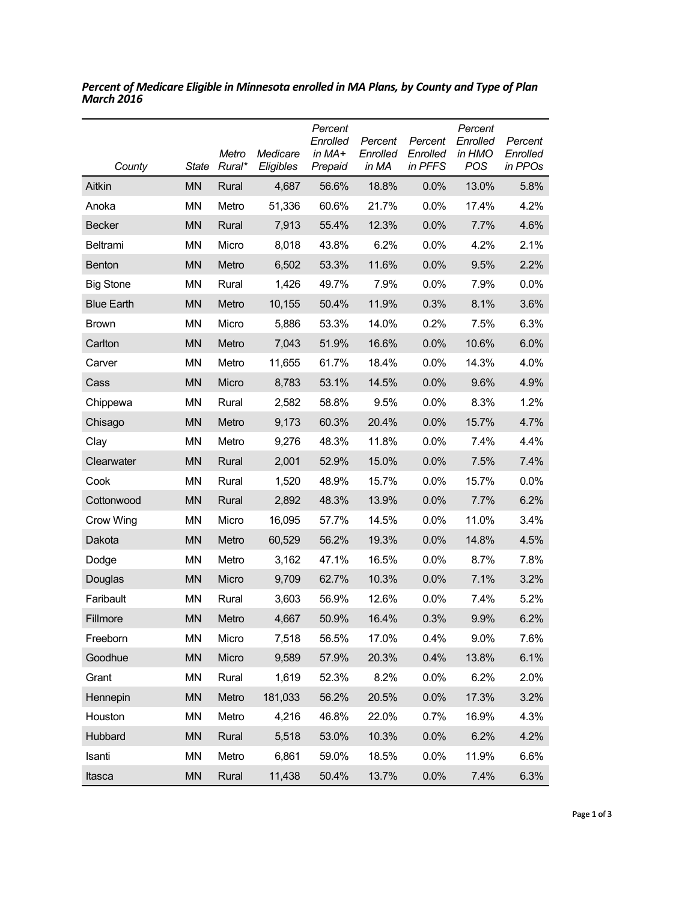| County            | State     | Metro<br>Rural* | Medicare<br>Eligibles | Percent<br>Enrolled<br>in MA+<br>Prepaid | Percent<br>Enrolled<br>in MA | Percent<br>Enrolled<br>in PFFS | Percent<br>Enrolled<br>in HMO<br>POS | Percent<br>Enrolled<br>in PPOs |
|-------------------|-----------|-----------------|-----------------------|------------------------------------------|------------------------------|--------------------------------|--------------------------------------|--------------------------------|
| Aitkin            | <b>MN</b> | Rural           | 4,687                 | 56.6%                                    | 18.8%                        | 0.0%                           | 13.0%                                | 5.8%                           |
| Anoka             | ΜN        | Metro           | 51,336                | 60.6%                                    | 21.7%                        | $0.0\%$                        | 17.4%                                | 4.2%                           |
| <b>Becker</b>     | <b>MN</b> | Rural           | 7,913                 | 55.4%                                    | 12.3%                        | 0.0%                           | 7.7%                                 | 4.6%                           |
| Beltrami          | <b>MN</b> | Micro           | 8,018                 | 43.8%                                    | 6.2%                         | $0.0\%$                        | 4.2%                                 | 2.1%                           |
| <b>Benton</b>     | <b>MN</b> | Metro           | 6,502                 | 53.3%                                    | 11.6%                        | 0.0%                           | 9.5%                                 | 2.2%                           |
| <b>Big Stone</b>  | <b>MN</b> | Rural           | 1,426                 | 49.7%                                    | 7.9%                         | $0.0\%$                        | 7.9%                                 | $0.0\%$                        |
| <b>Blue Earth</b> | <b>MN</b> | Metro           | 10,155                | 50.4%                                    | 11.9%                        | 0.3%                           | 8.1%                                 | 3.6%                           |
| <b>Brown</b>      | <b>MN</b> | Micro           | 5,886                 | 53.3%                                    | 14.0%                        | 0.2%                           | 7.5%                                 | 6.3%                           |
| Carlton           | <b>MN</b> | Metro           | 7,043                 | 51.9%                                    | 16.6%                        | 0.0%                           | 10.6%                                | 6.0%                           |
| Carver            | <b>MN</b> | Metro           | 11,655                | 61.7%                                    | 18.4%                        | 0.0%                           | 14.3%                                | 4.0%                           |
| Cass              | <b>MN</b> | Micro           | 8,783                 | 53.1%                                    | 14.5%                        | 0.0%                           | 9.6%                                 | 4.9%                           |
| Chippewa          | <b>MN</b> | Rural           | 2,582                 | 58.8%                                    | 9.5%                         | $0.0\%$                        | 8.3%                                 | 1.2%                           |
| Chisago           | <b>MN</b> | Metro           | 9,173                 | 60.3%                                    | 20.4%                        | 0.0%                           | 15.7%                                | 4.7%                           |
| Clay              | <b>MN</b> | Metro           | 9,276                 | 48.3%                                    | 11.8%                        | $0.0\%$                        | 7.4%                                 | 4.4%                           |
| Clearwater        | <b>MN</b> | Rural           | 2,001                 | 52.9%                                    | 15.0%                        | 0.0%                           | 7.5%                                 | 7.4%                           |
| Cook              | <b>MN</b> | Rural           | 1,520                 | 48.9%                                    | 15.7%                        | $0.0\%$                        | 15.7%                                | $0.0\%$                        |
| Cottonwood        | <b>MN</b> | Rural           | 2,892                 | 48.3%                                    | 13.9%                        | 0.0%                           | 7.7%                                 | 6.2%                           |
| Crow Wing         | ΜN        | Micro           | 16,095                | 57.7%                                    | 14.5%                        | $0.0\%$                        | 11.0%                                | 3.4%                           |
| Dakota            | <b>MN</b> | Metro           | 60,529                | 56.2%                                    | 19.3%                        | 0.0%                           | 14.8%                                | 4.5%                           |
| Dodge             | ΜN        | Metro           | 3,162                 | 47.1%                                    | 16.5%                        | 0.0%                           | 8.7%                                 | 7.8%                           |
| Douglas           | <b>MN</b> | Micro           | 9,709                 | 62.7%                                    | 10.3%                        | 0.0%                           | 7.1%                                 | 3.2%                           |
| Faribault         | ΜN        | Rural           | 3,603                 | 56.9%                                    | 12.6%                        | $0.0\%$                        | 7.4%                                 | 5.2%                           |
| Fillmore          | <b>MN</b> | Metro           | 4,667                 | 50.9%                                    | 16.4%                        | 0.3%                           | 9.9%                                 | 6.2%                           |
| Freeborn          | MN        | Micro           | 7,518                 | 56.5%                                    | 17.0%                        | 0.4%                           | 9.0%                                 | 7.6%                           |
| Goodhue           | <b>MN</b> | Micro           | 9,589                 | 57.9%                                    | 20.3%                        | 0.4%                           | 13.8%                                | 6.1%                           |
| Grant             | MN        | Rural           | 1,619                 | 52.3%                                    | 8.2%                         | 0.0%                           | 6.2%                                 | 2.0%                           |
| Hennepin          | <b>MN</b> | Metro           | 181,033               | 56.2%                                    | 20.5%                        | 0.0%                           | 17.3%                                | 3.2%                           |
| Houston           | MN        | Metro           | 4,216                 | 46.8%                                    | 22.0%                        | 0.7%                           | 16.9%                                | 4.3%                           |
| Hubbard           | <b>MN</b> | Rural           | 5,518                 | 53.0%                                    | 10.3%                        | 0.0%                           | 6.2%                                 | 4.2%                           |
| Isanti            | MN        | Metro           | 6,861                 | 59.0%                                    | 18.5%                        | 0.0%                           | 11.9%                                | 6.6%                           |
| Itasca            | <b>MN</b> | Rural           | 11,438                | 50.4%                                    | 13.7%                        | 0.0%                           | 7.4%                                 | 6.3%                           |

*Percent of Medicare Eligible in Minnesota enrolled in MA Plans, by County and Type of Plan March 2016*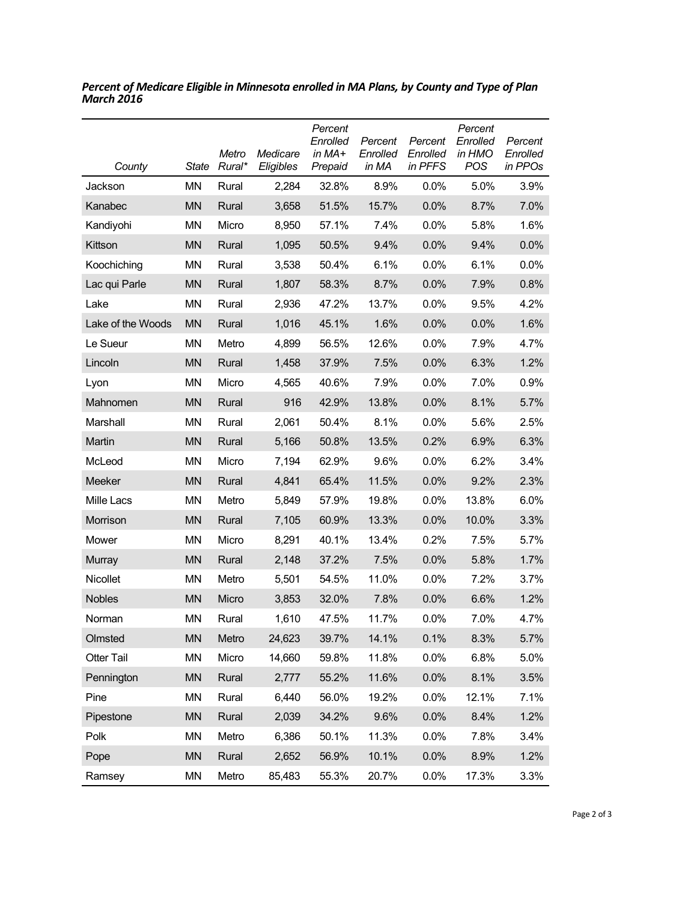| County            | State     | Metro<br>Rural* | Medicare<br>Eligibles | Percent<br>Enrolled<br>in MA+<br>Prepaid | Percent<br>Enrolled<br>in MA | Percent<br>Enrolled<br>in PFFS | Percent<br>Enrolled<br>in HMO<br>POS | Percent<br>Enrolled<br>in PPOs |
|-------------------|-----------|-----------------|-----------------------|------------------------------------------|------------------------------|--------------------------------|--------------------------------------|--------------------------------|
| Jackson           | ΜN        | Rural           | 2,284                 | 32.8%                                    | 8.9%                         | $0.0\%$                        | 5.0%                                 | 3.9%                           |
| Kanabec           | <b>MN</b> | Rural           | 3,658                 | 51.5%                                    | 15.7%                        | 0.0%                           | 8.7%                                 | 7.0%                           |
| Kandiyohi         | MN        | Micro           | 8,950                 | 57.1%                                    | 7.4%                         | 0.0%                           | 5.8%                                 | 1.6%                           |
| Kittson           | <b>MN</b> | Rural           | 1,095                 | 50.5%                                    | 9.4%                         | 0.0%                           | 9.4%                                 | 0.0%                           |
| Koochiching       | <b>MN</b> | Rural           | 3,538                 | 50.4%                                    | 6.1%                         | $0.0\%$                        | 6.1%                                 | $0.0\%$                        |
| Lac qui Parle     | <b>MN</b> | Rural           | 1,807                 | 58.3%                                    | 8.7%                         | 0.0%                           | 7.9%                                 | 0.8%                           |
| Lake              | MN        | Rural           | 2,936                 | 47.2%                                    | 13.7%                        | $0.0\%$                        | 9.5%                                 | 4.2%                           |
| Lake of the Woods | <b>MN</b> | Rural           | 1,016                 | 45.1%                                    | 1.6%                         | 0.0%                           | 0.0%                                 | 1.6%                           |
| Le Sueur          | ΜN        | Metro           | 4,899                 | 56.5%                                    | 12.6%                        | $0.0\%$                        | 7.9%                                 | 4.7%                           |
| Lincoln           | <b>MN</b> | Rural           | 1,458                 | 37.9%                                    | 7.5%                         | 0.0%                           | 6.3%                                 | 1.2%                           |
| Lyon              | ΜN        | Micro           | 4,565                 | 40.6%                                    | 7.9%                         | $0.0\%$                        | 7.0%                                 | 0.9%                           |
| Mahnomen          | <b>MN</b> | Rural           | 916                   | 42.9%                                    | 13.8%                        | 0.0%                           | 8.1%                                 | 5.7%                           |
| Marshall          | MN        | Rural           | 2,061                 | 50.4%                                    | 8.1%                         | 0.0%                           | 5.6%                                 | 2.5%                           |
| Martin            | <b>MN</b> | Rural           | 5,166                 | 50.8%                                    | 13.5%                        | 0.2%                           | 6.9%                                 | 6.3%                           |
| McLeod            | <b>MN</b> | Micro           | 7,194                 | 62.9%                                    | 9.6%                         | 0.0%                           | 6.2%                                 | 3.4%                           |
| Meeker            | <b>MN</b> | Rural           | 4,841                 | 65.4%                                    | 11.5%                        | 0.0%                           | 9.2%                                 | 2.3%                           |
| Mille Lacs        | <b>MN</b> | Metro           | 5,849                 | 57.9%                                    | 19.8%                        | 0.0%                           | 13.8%                                | 6.0%                           |
| Morrison          | <b>MN</b> | Rural           | 7,105                 | 60.9%                                    | 13.3%                        | 0.0%                           | 10.0%                                | 3.3%                           |
| Mower             | <b>MN</b> | Micro           | 8,291                 | 40.1%                                    | 13.4%                        | 0.2%                           | 7.5%                                 | 5.7%                           |
| Murray            | <b>MN</b> | Rural           | 2,148                 | 37.2%                                    | 7.5%                         | 0.0%                           | 5.8%                                 | 1.7%                           |
| Nicollet          | <b>MN</b> | Metro           | 5,501                 | 54.5%                                    | 11.0%                        | 0.0%                           | 7.2%                                 | 3.7%                           |
| <b>Nobles</b>     | <b>MN</b> | Micro           | 3,853                 | 32.0%                                    | 7.8%                         | 0.0%                           | 6.6%                                 | 1.2%                           |
| Norman            | MN        | Rural           | 1,610                 | 47.5%                                    | 11.7%                        | 0.0%                           | 7.0%                                 | 4.7%                           |
| Olmsted           | MN        | Metro           | 24,623                | 39.7%                                    | 14.1%                        | 0.1%                           | 8.3%                                 | 5.7%                           |
| <b>Otter Tail</b> | MN        | Micro           | 14,660                | 59.8%                                    | 11.8%                        | 0.0%                           | 6.8%                                 | 5.0%                           |
| Pennington        | <b>MN</b> | Rural           | 2,777                 | 55.2%                                    | 11.6%                        | 0.0%                           | 8.1%                                 | 3.5%                           |
| Pine              | MN        | Rural           | 6,440                 | 56.0%                                    | 19.2%                        | 0.0%                           | 12.1%                                | 7.1%                           |
| Pipestone         | <b>MN</b> | Rural           | 2,039                 | 34.2%                                    | 9.6%                         | 0.0%                           | 8.4%                                 | 1.2%                           |
| Polk              | MN        | Metro           | 6,386                 | 50.1%                                    | 11.3%                        | 0.0%                           | 7.8%                                 | 3.4%                           |
| Pope              | <b>MN</b> | Rural           | 2,652                 | 56.9%                                    | 10.1%                        | 0.0%                           | 8.9%                                 | 1.2%                           |
| Ramsey            | MN        | Metro           | 85,483                | 55.3%                                    | 20.7%                        | 0.0%                           | 17.3%                                | 3.3%                           |

*Percent of Medicare Eligible in Minnesota enrolled in MA Plans, by County and Type of Plan March 2016*